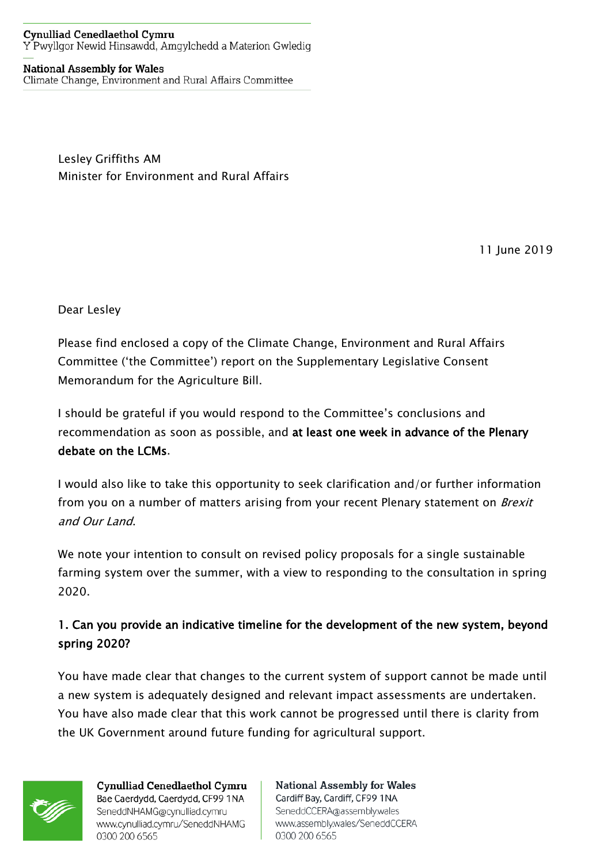## **Cynulliad Cenedlaethol Cymru** Y Pwyllgor Newid Hinsawdd, Amgylchedd a Materion Gwledig

## **National Assembly for Wales**

Climate Change, Environment and Rural Affairs Committee

Lesley Griffiths AM Minister for Environment and Rural Affairs

11 June 2019

Dear Lesley

Please find enclosed a copy of the Climate Change, Environment and Rural Affairs Committee ('the Committee') report on the Supplementary Legislative Consent Memorandum for the Agriculture Bill.

I should be grateful if you would respond to the Committee's conclusions and recommendation as soon as possible, and at least one week in advance of the Plenary debate on the LCMs.

I would also like to take this opportunity to seek clarification and/or further information from you on a number of matters arising from your recent Plenary statement on *Brexit* and Our Land.

We note your intention to consult on revised policy proposals for a single sustainable farming system over the summer, with a view to responding to the consultation in spring 2020.

## 1. Can you provide an indicative timeline for the development of the new system, beyond spring 2020?

You have made clear that changes to the current system of support cannot be made until a new system is adequately designed and relevant impact assessments are undertaken. You have also made clear that this work cannot be progressed until there is clarity from the UK Government around future funding for agricultural support.



**Cynulliad Cenedlaethol Cymru** Bae Caerdydd, Caerdydd, CF99 1NA SeneddNHAMG@cynulliad.cymru www.cynulliad.cymru/SeneddNHAMG 0300 200 6565

**National Assembly for Wales** Cardiff Bay, Cardiff, CF99 1NA SeneddCCERA@assembly.wales www.assembly.wales/SeneddCCERA 0300 200 6565